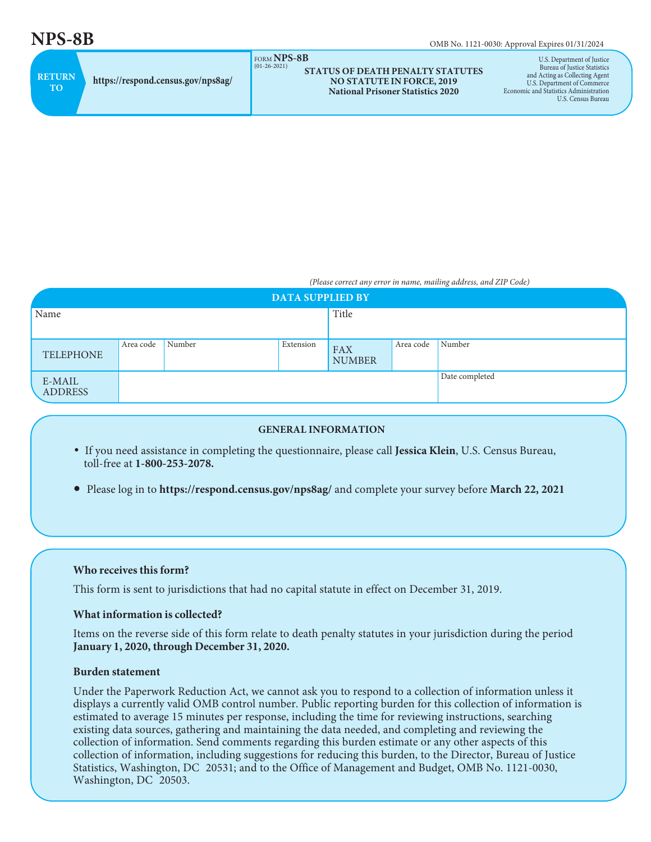$NPS-8B$  OMB No. 1121-0030: Approval Expires 01/31/2024

|                      |                                    | $\cdots$<br>$(01-26-202)$ |
|----------------------|------------------------------------|---------------------------|
| <b>RETURN</b><br>TO. | https://respond.census.gov/nps8ag/ |                           |

#### FORM **NPS-8B** (01-26-2021) **STATUS OF DEATH PENALTY STATUTES NO STATUTE IN FORCE, 2019 National Prisoner Statistics 2020**

U.S. Department of Justice Bureau of Justice Statistics and Acting as Collecting Agent U.S. Department of Commerce Economic and Statistics Administration U.S. Census Bureau

*(Please correct any error in name, mailing address, and ZIP Code)*

| <b>DATA SUPPLIED BY</b>  |           |        |                |                             |           |        |  |
|--------------------------|-----------|--------|----------------|-----------------------------|-----------|--------|--|
| Name                     |           |        | Title          |                             |           |        |  |
|                          |           |        |                |                             |           |        |  |
| TELEPHONE                | Area code | Number | Extension      | <b>FAX</b><br><b>NUMBER</b> | Area code | Number |  |
| E-MAIL<br><b>ADDRESS</b> |           |        | Date completed |                             |           |        |  |

#### **GENERAL INFORMATION**

- If you need assistance in completing the questionnaire, please call **Jessica Klein**, U.S. Census Bureau, toll-free at **1-800-253-2078.**
- Please log in to **https://respond.census.gov/nps8ag/** and complete your survey before **March 22, 2021**

## **Who receives this form?**

This form is sent to jurisdictions that had no capital statute in effect on December 31, 2019.

# **What information is collected?**

Items on the reverse side of this form relate to death penalty statutes in your jurisdiction during the period **January 1, 2020, through December 31, 2020.**

## **Burden statement**

Under the Paperwork Reduction Act, we cannot ask you to respond to a collection of information unless it displays a currently valid OMB control number. Public reporting burden for this collection of information is estimated to average 15 minutes per response, including the time for reviewing instructions, searching existing data sources, gathering and maintaining the data needed, and completing and reviewing the collection of information. Send comments regarding this burden estimate or any other aspects of this collection of information, including suggestions for reducing this burden, to the Director, Bureau of Justice Statistics, Washington, DC 20531; and to the Office of Management and Budget, OMB No. 1121-0030, Washington, DC 20503.